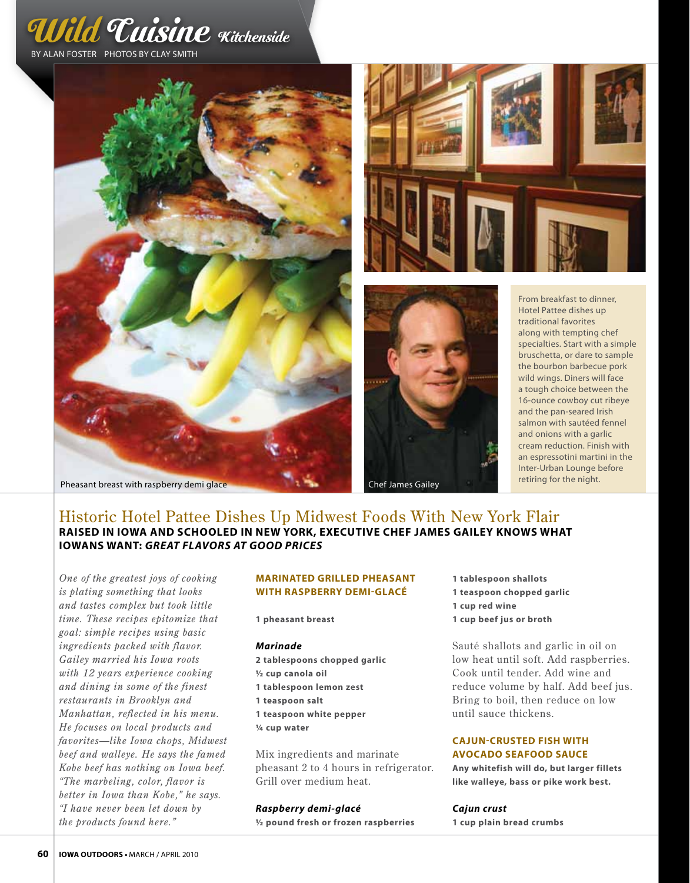







From breakfast to dinner, Hotel Pattee dishes up traditional favorites along with tempting chef specialties. Start with a simple bruschetta, or dare to sample the bourbon barbecue pork wild wings. Diners will face a tough choice between the 16-ounce cowboy cut ribeye and the pan-seared Irish salmon with sautéed fennel and onions with a garlic cream reduction. Finish with an espressotini martini in the Inter-Urban Lounge before

# Historic Hotel Pattee Dishes Up Midwest Foods With New York Flair **Raised in iowa and schooled in New York, executive chef James Gailey knows what Iowans want:** *Great Flavors at good prices*

*One of the greatest joys of cooking is plating something that looks and tastes complex but took little time. These recipes epitomize that goal: simple recipes using basic ingredients packed with flavor. Gailey married his Iowa roots with 12 years experience cooking and dining in some of the finest restaurants in Brooklyn and Manhattan, reflected in his menu. He focuses on local products and favorites—like Iowa chops, Midwest beef and walleye. He says the famed Kobe beef has nothing on Iowa beef. "The marbeling, color, flavor is better in Iowa than Kobe," he says. "I have never been let down by the products found here."*

## **Marinated grilled pheasant with raspberry demi-glacÉ**

**1 pheasant breast**

#### *Marinade*

**2 tablespoons chopped garlic 1/2 cup canola oil 1 tablespoon lemon zest 1 teaspoon salt 1 teaspoon white pepper 1/4 cup water**

Mix ingredients and marinate pheasant 2 to 4 hours in refrigerator. Grill over medium heat.

*Raspberry demi-glacé* **1/2 pound fresh or frozen raspberries** **1 tablespoon shallots 1 teaspoon chopped garlic 1 cup red wine 1 cup beef jus or broth**

Sauté shallots and garlic in oil on low heat until soft. Add raspberries. Cook until tender. Add wine and reduce volume by half. Add beef jus. Bring to boil, then reduce on low until sauce thickens.

## **Cajun-Crusted fish with avocado seafood sauce**

**Any whitefish will do, but larger fillets like walleye, bass or pike work best.**

## *Cajun crust*

**1 cup plain bread crumbs**